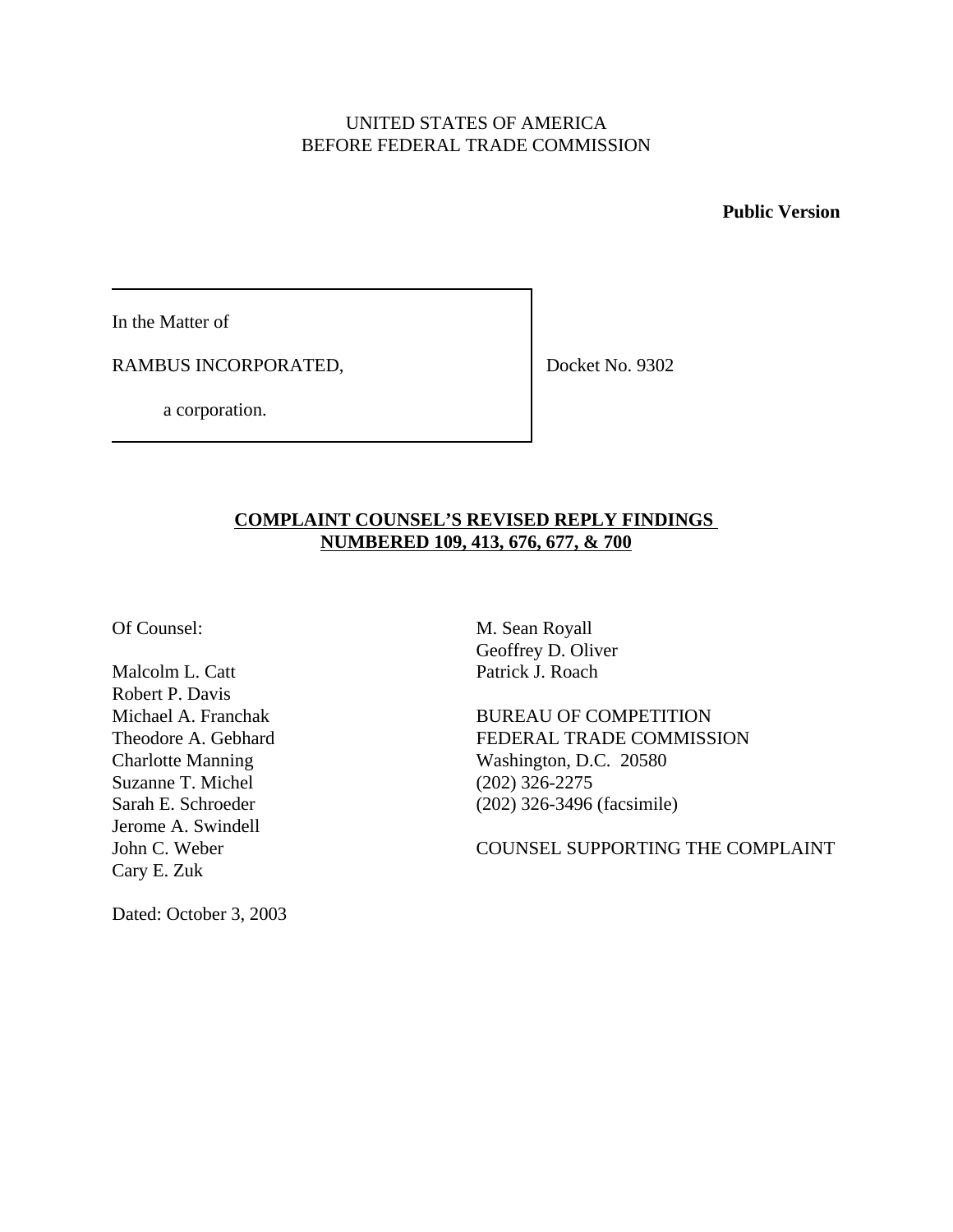## UNITED STATES OF AMERICA BEFORE FEDERAL TRADE COMMISSION

**Public Version**

In the Matter of

RAMBUS INCORPORATED,

Docket No. 9302

a corporation.

## **COMPLAINT COUNSEL'S REVISED REPLY FINDINGS NUMBERED 109, 413, 676, 677, & 700**

Malcolm L. Catt Patrick J. Roach Robert P. Davis Suzanne T. Michel (202) 326-2275 Jerome A. Swindell Cary E. Zuk

Of Counsel: M. Sean Royall Geoffrey D. Oliver

Michael A. Franchak BUREAU OF COMPETITION Theodore A. Gebhard FEDERAL TRADE COMMISSION Charlotte Manning Washington, D.C. 20580 Sarah E. Schroeder (202) 326-3496 (facsimile)

John C. Weber COUNSEL SUPPORTING THE COMPLAINT

Dated: October 3, 2003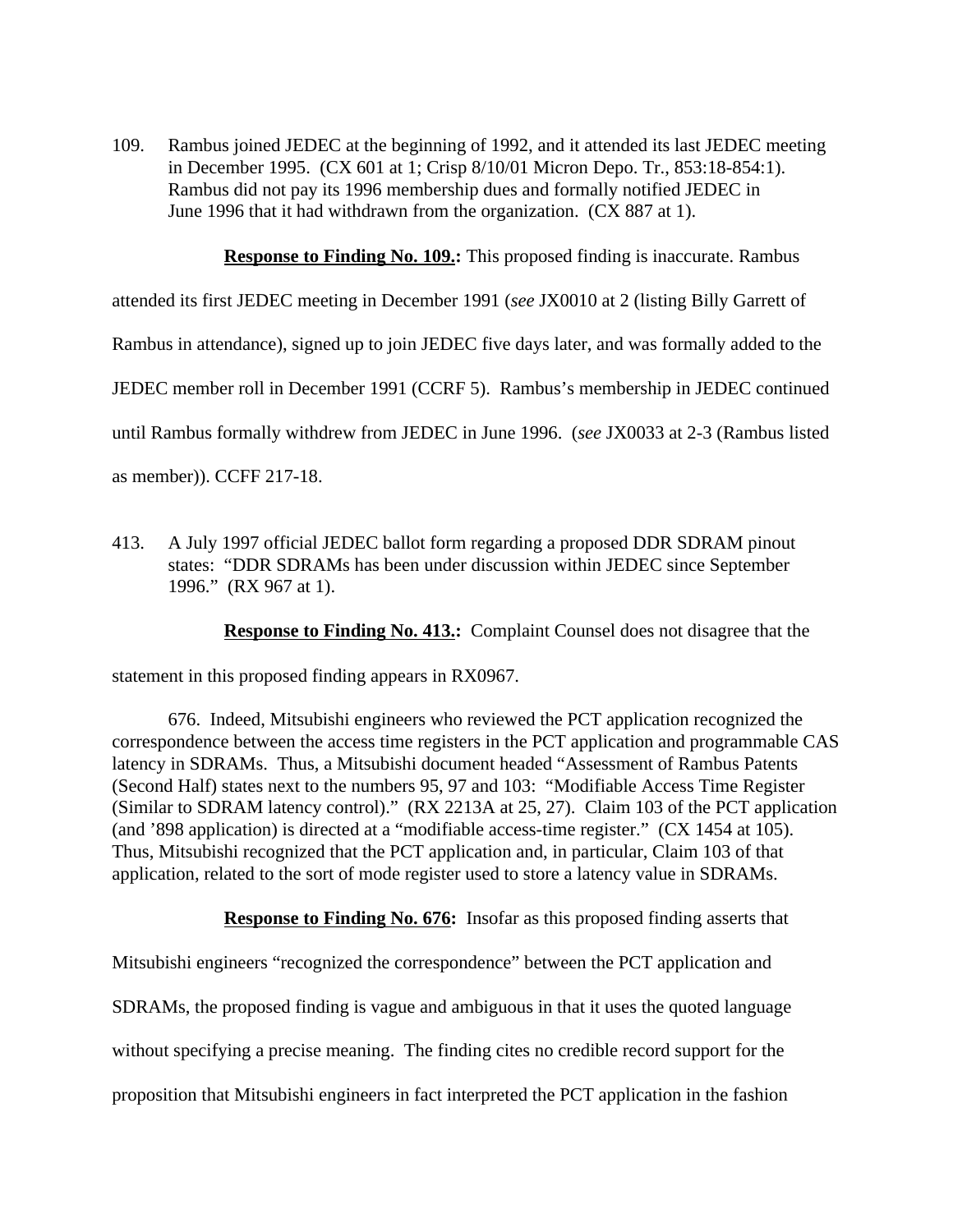109. Rambus joined JEDEC at the beginning of 1992, and it attended its last JEDEC meeting in December 1995. (CX 601 at 1; Crisp 8/10/01 Micron Depo. Tr., 853:18-854:1). Rambus did not pay its 1996 membership dues and formally notified JEDEC in June 1996 that it had withdrawn from the organization. (CX 887 at 1).

**Response to Finding No. 109.:** This proposed finding is inaccurate. Rambus

attended its first JEDEC meeting in December 1991 (*see* JX0010 at 2 (listing Billy Garrett of

Rambus in attendance), signed up to join JEDEC five days later, and was formally added to the

JEDEC member roll in December 1991 (CCRF 5). Rambus's membership in JEDEC continued

until Rambus formally withdrew from JEDEC in June 1996. (*see* JX0033 at 2-3 (Rambus listed

as member)). CCFF 217-18.

413. A July 1997 official JEDEC ballot form regarding a proposed DDR SDRAM pinout states: "DDR SDRAMs has been under discussion within JEDEC since September 1996." (RX 967 at 1).

**Response to Finding No. 413.:** Complaint Counsel does not disagree that the

statement in this proposed finding appears in RX0967.

676. Indeed, Mitsubishi engineers who reviewed the PCT application recognized the correspondence between the access time registers in the PCT application and programmable CAS latency in SDRAMs. Thus, a Mitsubishi document headed "Assessment of Rambus Patents (Second Half) states next to the numbers 95, 97 and 103: "Modifiable Access Time Register (Similar to SDRAM latency control)." (RX 2213A at 25, 27). Claim 103 of the PCT application (and '898 application) is directed at a "modifiable access-time register." (CX 1454 at 105). Thus, Mitsubishi recognized that the PCT application and, in particular, Claim 103 of that application, related to the sort of mode register used to store a latency value in SDRAMs.

**Response to Finding No. 676:** Insofar as this proposed finding asserts that

Mitsubishi engineers "recognized the correspondence" between the PCT application and SDRAMs, the proposed finding is vague and ambiguous in that it uses the quoted language without specifying a precise meaning. The finding cites no credible record support for the proposition that Mitsubishi engineers in fact interpreted the PCT application in the fashion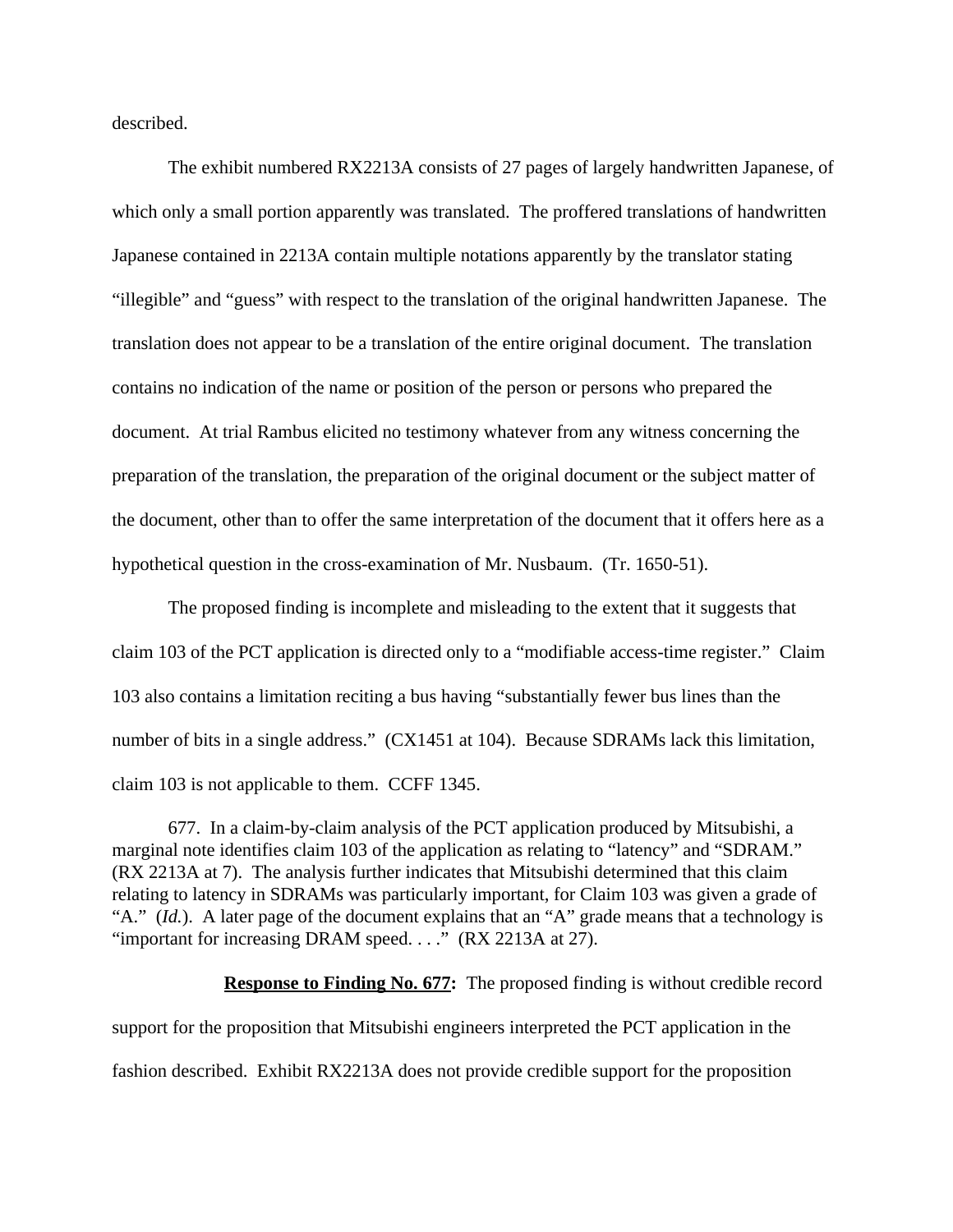described.

The exhibit numbered RX2213A consists of 27 pages of largely handwritten Japanese, of which only a small portion apparently was translated. The proffered translations of handwritten Japanese contained in 2213A contain multiple notations apparently by the translator stating "illegible" and "guess" with respect to the translation of the original handwritten Japanese. The translation does not appear to be a translation of the entire original document. The translation contains no indication of the name or position of the person or persons who prepared the document. At trial Rambus elicited no testimony whatever from any witness concerning the preparation of the translation, the preparation of the original document or the subject matter of the document, other than to offer the same interpretation of the document that it offers here as a hypothetical question in the cross-examination of Mr. Nusbaum. (Tr. 1650-51).

The proposed finding is incomplete and misleading to the extent that it suggests that claim 103 of the PCT application is directed only to a "modifiable access-time register." Claim 103 also contains a limitation reciting a bus having "substantially fewer bus lines than the number of bits in a single address." (CX1451 at 104). Because SDRAMs lack this limitation, claim 103 is not applicable to them. CCFF 1345.

677. In a claim-by-claim analysis of the PCT application produced by Mitsubishi, a marginal note identifies claim 103 of the application as relating to "latency" and "SDRAM." (RX 2213A at 7). The analysis further indicates that Mitsubishi determined that this claim relating to latency in SDRAMs was particularly important, for Claim 103 was given a grade of "A." (*Id.*). A later page of the document explains that an "A" grade means that a technology is "important for increasing DRAM speed...." (RX 2213A at 27).

**Response to Finding No. 677:** The proposed finding is without credible record support for the proposition that Mitsubishi engineers interpreted the PCT application in the fashion described. Exhibit RX2213A does not provide credible support for the proposition